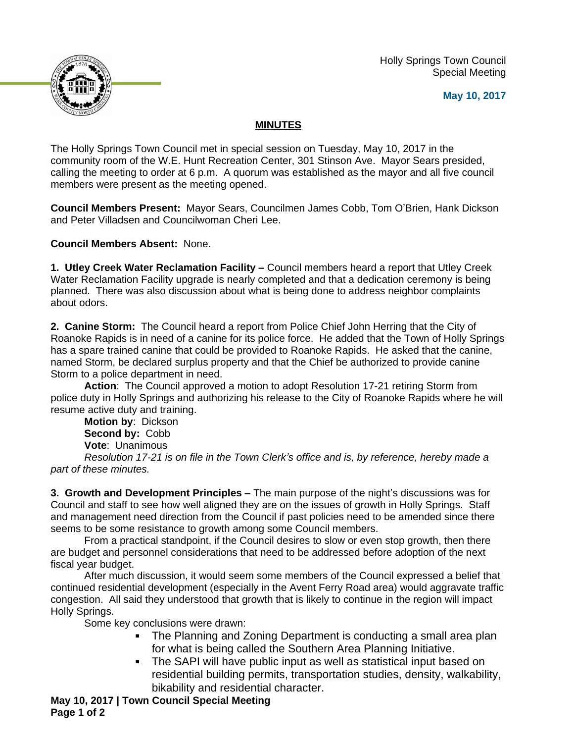Holly Springs Town Council Special Meeting





## **MINUTES**

The Holly Springs Town Council met in special session on Tuesday, May 10, 2017 in the community room of the W.E. Hunt Recreation Center, 301 Stinson Ave. Mayor Sears presided, calling the meeting to order at 6 p.m. A quorum was established as the mayor and all five council members were present as the meeting opened.

**Council Members Present:** Mayor Sears, Councilmen James Cobb, Tom O'Brien, Hank Dickson and Peter Villadsen and Councilwoman Cheri Lee.

**Council Members Absent:** None.

**1. Utley Creek Water Reclamation Facility –** Council members heard a report that Utley Creek Water Reclamation Facility upgrade is nearly completed and that a dedication ceremony is being planned. There was also discussion about what is being done to address neighbor complaints about odors.

**2. Canine Storm:** The Council heard a report from Police Chief John Herring that the City of Roanoke Rapids is in need of a canine for its police force. He added that the Town of Holly Springs has a spare trained canine that could be provided to Roanoke Rapids. He asked that the canine, named Storm, be declared surplus property and that the Chief be authorized to provide canine Storm to a police department in need.

**Action**: The Council approved a motion to adopt Resolution 17-21 retiring Storm from police duty in Holly Springs and authorizing his release to the City of Roanoke Rapids where he will resume active duty and training.

**Motion by**: Dickson **Second by:** Cobb **Vote**: Unanimous

*Resolution 17-21 is on file in the Town Clerk's office and is, by reference, hereby made a part of these minutes.*

**3. Growth and Development Principles –** The main purpose of the night's discussions was for Council and staff to see how well aligned they are on the issues of growth in Holly Springs. Staff and management need direction from the Council if past policies need to be amended since there seems to be some resistance to growth among some Council members.

From a practical standpoint, if the Council desires to slow or even stop growth, then there are budget and personnel considerations that need to be addressed before adoption of the next fiscal year budget.

After much discussion, it would seem some members of the Council expressed a belief that continued residential development (especially in the Avent Ferry Road area) would aggravate traffic congestion. All said they understood that growth that is likely to continue in the region will impact Holly Springs.

Some key conclusions were drawn:

- The Planning and Zoning Department is conducting a small area plan for what is being called the Southern Area Planning Initiative.
- The SAPI will have public input as well as statistical input based on residential building permits, transportation studies, density, walkability, bikability and residential character.

**May 10, 2017 | Town Council Special Meeting Page 1 of 2**